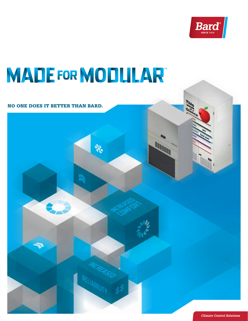

**MARTIN** 

# **MADE FOR MODULAR**

豪

### NO ONE DOES IT BETTER THAN BARD.

*Climate Control Solutions*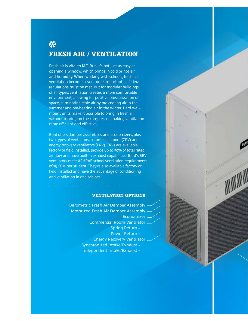## 愁 FRESH AIR / VENTILATION

Fresh air is vital to IAC. But, it's not just as easy as opening a window, which brings in cold or hot air and humidity. When working with schools, fresh air ventilation becomes even more important as federal regulations must be met. But for modular buildings of all types, ventilation creates a more comfortable environment, allowing for positive pressurization of space, eliminating stale air by pre-cooling air in the summer and pre-heating air in the winter. Bard wallmount units make it possible to bring in fresh air without turning on the compressor, making ventilation more efficient and effective.

Bard offers damper assemblies and economizers, plus two types of ventilators, commercial room (CRV) and energy recovery ventilators (ERV). CRVs are available factory or field installed, provide up to 50% of total rated air flow and have built-in exhaust capabilities. Bard's ERV ventilators meet ASHRAE school ventilation requirements of 15 CFM per student. They're also available factory or field installed and have the advantage of conditioning and ventilation in one cabinet.

#### VENTILATION OPTIONS

Barometric Fresh Air Damper Assembly Motorized Fresh Air Damper Assembly Economizer Commercial Room Ventilator Spring Return • Power Return • Energy Recovery Ventilator Synchronized Intake/Exhaust • Independent Intake/Exhaust •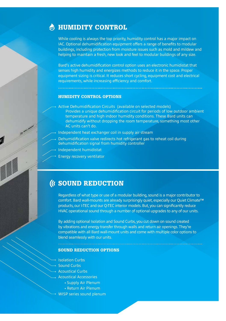### **A HUMIDITY CONTROL**

While cooling is always the top priority, humidity control has a major impact on IAC. Optional dehumidification equipment offers a range of benefits to modular buildings, including protection from moisture issues such as mold and mildew and helping to maintain a fresh, new look and feel to modular buildings of any size.

Bard's active dehumidification control option uses an electronic humidistat that senses high humidity and energizes methods to reduce it in the space. Proper equipment sizing is critical. It reduces short cycling, equipment cost and electrical requirements, while increasing efficiency and comfort.

#### HUMIDITY CONTROL OPTIONS

- Active Dehumidification Circuits (available on selected models) Provides a unique dehumidification circuit for periods of low outdoor ambient temperature and high indoor humidity conditions. These Bard units can dehumidify without dropping the room temperature, something most other AC units can't do.
- Independent heat exchanger coil in supply air stream
- Dehumidification valve redirects hot refrigerant gas to reheat coil during dehumidification signal from humidity controller
- Independent humidistat
- Energy recovery ventilator

### **(IC SOUND REDUCTION**

Regardless of what type or use of a modular building, sound is a major contributor to comfort. Bard wall-mounts are already surprisingly quiet, especially our Quiet Climate™ products, our I-TEC and our Q-TEC interior models. But, you can significantly reduce HVAC operational sound through a number of optional upgrades to any of our units.

By adding optional Isolation and Sound Curbs, you cut down on sound created by vibrations and energy transfer through walls and return air openings. They're compatible with all Bard wall-mount units and come with multiple color options to blend seamlessly with our units.

#### SOUND REDUCTION OPTIONS

- Isolation Curbs
- Sound Curbs
- Acoustical Curbs
- Acoustical Accessories
	- Supply Air Plenum
	- Return Air Plenum
- WISP series sound plenum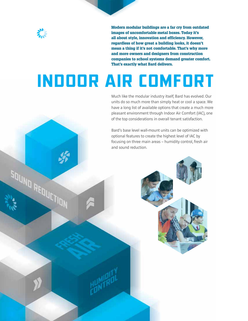

SDUND REDUCTION

Modern modular buildings are a far cry from outdated images of uncomfortable metal boxes. Today it's all about style, innovation and efficiency. However, regardless of how great a building looks, it doesn't mean a thing if it's not comfortable. That's why more and more owners and designers from construction companies to school systems demand greater comfort. That's exactly what Bard delivers.

## *INDOOR AIR COMFORT*

Much like the modular industry itself, Bard has evolved. Our units do so much more than simply heat or cool a space. We have a long list of available options that create a much more pleasant environment through Indoor Air Comfort (IAC), one of the top considerations in overall tenant satisfaction.

Bard's base level wall-mount units can be optimized with optional features to create the highest level of IAC by focusing on three main areas – humidity control, fresh air and sound reduction.

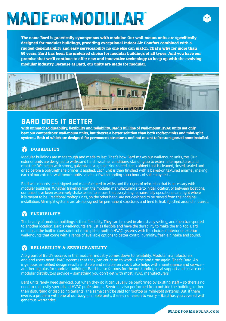## **MADE FOR MODLILAR**

The name Bard is practically synonymous with modular. Our wall-mount units are specifically designed for modular buildings, providing exceptional Indoor Air Comfort combined with a rugged dependability and easy serviceability no one else can match. That's why for more than 50 years, Bard has been the preferred choice for modular buildings of all types. And you have our promise that we'll continue to offer new and innovative technology to keep up with the evolving modular industry. Because at Bard, our units are made for modular.



### *BARD DOES IT BETTER*

With unmatched durability, flexibility and reliability, Bard's full line of wall-mount HVAC units not only beat our competitors' wall-mount units, but they're a better solution than both rooftop units and mini-split systems. Both of which are designed for permanent structures and not meant to be transported once installed.

### **PEDURABILITY**

Modular buildings are made tough and made to last. That's how Bard makes our wall-mount units, too. Our exterior units are designed to withstand harsh weather conditions, standing up to extreme temperatures and moisture. We begin with strong, galvanized 20 gauge zinc-coated steel cabinet that is cleaned, rinsed, sealed and dried before a polyurethane primer is applied. Each unit is then finished with a baked-on textured enamel, making each of our exterior wall-mount units capable of withstanding 1000 hours of salt spray tests.

Bard wall-mounts are designed and manufactured to withstand the rigors of relocation that is necessary with modular buildings. Whether traveling from the modular manufacturing site to initial location, or between locations, our units have been extensively shake tested to ensure that everything remains fully operational and right where it is meant to be. Traditional rooftop units, on the other hand, are not designed to be moved from their original installation. Mini-split systems are also designed for permanent structures and tend to leak if jostled around in transit.

### **FLEXIBILITY**

The beauty of modular buildings is their flexibility. They can be used in almost any setting, and then transported to another location. Bard's wall-mounts are just as flexible and have the durability to make the trip, too. Bard units beat the built-in constraints of mini-split or rooftop HVAC systems with the choice of interior or exterior wall-mounts that come with a range of available options to better control humidity, fresh air intake and sound.

### RELIABILITY & SERVICEABILITY

A big part of Bard's success in the modular industry comes down to reliability. Modular manufacturers and end users need HVAC systems that they can count on to work – time and time again. That's Bard. An ingenious simplified design results in stable and reliable service. It also helps with maintenance and service – another big plus for modular buildings. Bard is also famous for the outstanding local support and service our modular distributors provide – something you don't get with most HVAC manufacturers.

Bard units rarely need serviced, but when they do it can usually be performed by existing staff – so there's no need to call costly specialized HVAC professionals. Service is also performed from outside the building, rather than disturbing or displacing tenants. The same can't be said for rooftop or mini-split systems. But, if there ever is a problem with one of our tough, reliable units, there's no reason to worry – Bard has you covered with generous warranties.